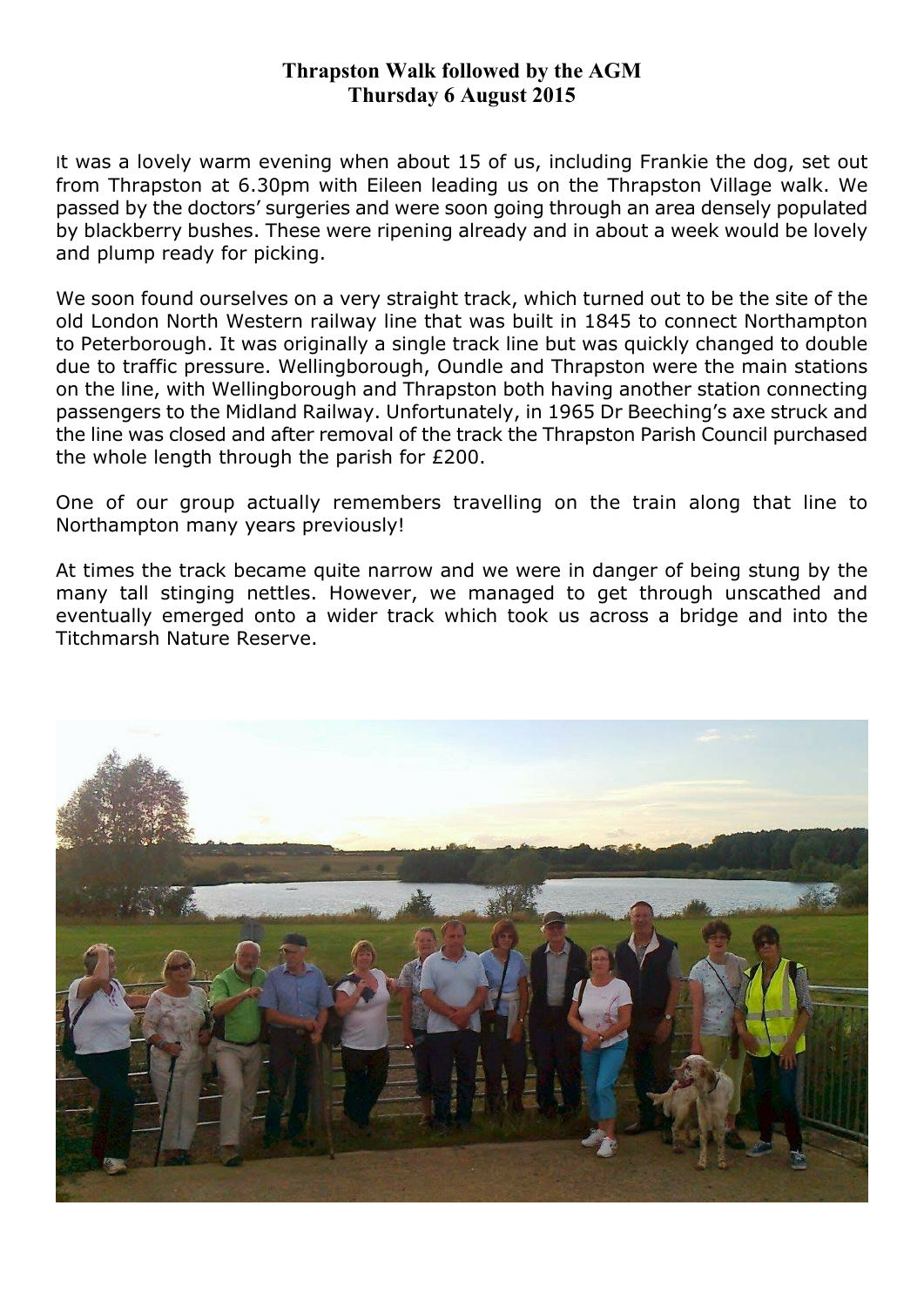## **Thrapston Walk followed by the AGM Thursday 6 August 2015**

It was a lovely warm evening when about 15 of us, including Frankie the dog, set out from Thrapston at 6.30pm with Eileen leading us on the Thrapston Village walk. We passed by the doctors' surgeries and were soon going through an area densely populated by blackberry bushes. These were ripening already and in about a week would be lovely and plump ready for picking.

We soon found ourselves on a very straight track, which turned out to be the site of the old London North Western railway line that was built in 1845 to connect Northampton to Peterborough. It was originally a single track line but was quickly changed to double due to traffic pressure. Wellingborough, Oundle and Thrapston were the main stations on the line, with Wellingborough and Thrapston both having another station connecting passengers to the Midland Railway. Unfortunately, in 1965 Dr Beeching's axe struck and the line was closed and after removal of the track the Thrapston Parish Council purchased the whole length through the parish for £200.

One of our group actually remembers travelling on the train along that line to Northampton many years previously!

At times the track became quite narrow and we were in danger of being stung by the many tall stinging nettles. However, we managed to get through unscathed and eventually emerged onto a wider track which took us across a bridge and into the Titchmarsh Nature Reserve.